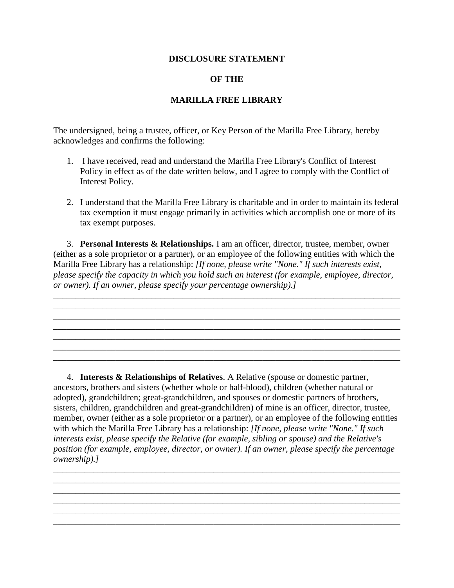## **DISCLOSURE STATEMENT**

## **OF THE**

## **MARILLA FREE LIBRARY**

The undersigned, being a trustee, officer, or Key Person of the Marilla Free Library, hereby acknowledges and confirms the following:

- 1. I have received, read and understand the Marilla Free Library's Conflict of Interest Policy in effect as of the date written below, and I agree to comply with the Conflict of Interest Policy.
- 2. I understand that the Marilla Free Library is charitable and in order to maintain its federal tax exemption it must engage primarily in activities which accomplish one or more of its tax exempt purposes.

3. **Personal Interests & Relationships.** I am an officer, director, trustee, member, owner (either as a sole proprietor or a partner), or an employee of the following entities with which the Marilla Free Library has a relationship: *[If none, please write "None." If such interests exist, please specify the capacity in which you hold such an interest (for example, employee, director, or owner). If an owner, please specify your percentage ownership).]*

\_\_\_\_\_\_\_\_\_\_\_\_\_\_\_\_\_\_\_\_\_\_\_\_\_\_\_\_\_\_\_\_\_\_\_\_\_\_\_\_\_\_\_\_\_\_\_\_\_\_\_\_\_\_\_\_\_\_\_\_\_\_\_\_\_\_\_\_\_\_\_\_\_\_\_\_\_\_ \_\_\_\_\_\_\_\_\_\_\_\_\_\_\_\_\_\_\_\_\_\_\_\_\_\_\_\_\_\_\_\_\_\_\_\_\_\_\_\_\_\_\_\_\_\_\_\_\_\_\_\_\_\_\_\_\_\_\_\_\_\_\_\_\_\_\_\_\_\_\_\_\_\_\_\_\_\_ \_\_\_\_\_\_\_\_\_\_\_\_\_\_\_\_\_\_\_\_\_\_\_\_\_\_\_\_\_\_\_\_\_\_\_\_\_\_\_\_\_\_\_\_\_\_\_\_\_\_\_\_\_\_\_\_\_\_\_\_\_\_\_\_\_\_\_\_\_\_\_\_\_\_\_\_\_\_

\_\_\_\_\_\_\_\_\_\_\_\_\_\_\_\_\_\_\_\_\_\_\_\_\_\_\_\_\_\_\_\_\_\_\_\_\_\_\_\_\_\_\_\_\_\_\_\_\_\_\_\_\_\_\_\_\_\_\_\_\_\_\_\_\_\_\_\_\_\_\_\_\_\_\_\_\_\_

\_\_\_\_\_\_\_\_\_\_\_\_\_\_\_\_\_\_\_\_\_\_\_\_\_\_\_\_\_\_\_\_\_\_\_\_\_\_\_\_\_\_\_\_\_\_\_\_\_\_\_\_\_\_\_\_\_\_\_\_\_\_\_\_\_\_\_\_\_\_\_\_\_\_\_\_\_\_

4. **Interests & Relationships of Relatives**. A Relative (spouse or domestic partner, ancestors, brothers and sisters (whether whole or half-blood), children (whether natural or adopted), grandchildren; great-grandchildren, and spouses or domestic partners of brothers, sisters, children, grandchildren and great-grandchildren) of mine is an officer, director, trustee, member, owner (either as a sole proprietor or a partner), or an employee of the following entities with which the Marilla Free Library has a relationship: *[If none, please write "None." If such interests exist, please specify the Relative (for example, sibling or spouse) and the Relative's position (for example, employee, director, or owner). If an owner, please specify the percentage ownership).]*

\_\_\_\_\_\_\_\_\_\_\_\_\_\_\_\_\_\_\_\_\_\_\_\_\_\_\_\_\_\_\_\_\_\_\_\_\_\_\_\_\_\_\_\_\_\_\_\_\_\_\_\_\_\_\_\_\_\_\_\_\_\_\_\_\_\_\_\_\_\_\_\_\_\_\_\_\_\_ \_\_\_\_\_\_\_\_\_\_\_\_\_\_\_\_\_\_\_\_\_\_\_\_\_\_\_\_\_\_\_\_\_\_\_\_\_\_\_\_\_\_\_\_\_\_\_\_\_\_\_\_\_\_\_\_\_\_\_\_\_\_\_\_\_\_\_\_\_\_\_\_\_\_\_\_\_\_ \_\_\_\_\_\_\_\_\_\_\_\_\_\_\_\_\_\_\_\_\_\_\_\_\_\_\_\_\_\_\_\_\_\_\_\_\_\_\_\_\_\_\_\_\_\_\_\_\_\_\_\_\_\_\_\_\_\_\_\_\_\_\_\_\_\_\_\_\_\_\_\_\_\_\_\_\_\_ \_\_\_\_\_\_\_\_\_\_\_\_\_\_\_\_\_\_\_\_\_\_\_\_\_\_\_\_\_\_\_\_\_\_\_\_\_\_\_\_\_\_\_\_\_\_\_\_\_\_\_\_\_\_\_\_\_\_\_\_\_\_\_\_\_\_\_\_\_\_\_\_\_\_\_\_\_\_ \_\_\_\_\_\_\_\_\_\_\_\_\_\_\_\_\_\_\_\_\_\_\_\_\_\_\_\_\_\_\_\_\_\_\_\_\_\_\_\_\_\_\_\_\_\_\_\_\_\_\_\_\_\_\_\_\_\_\_\_\_\_\_\_\_\_\_\_\_\_\_\_\_\_\_\_\_\_